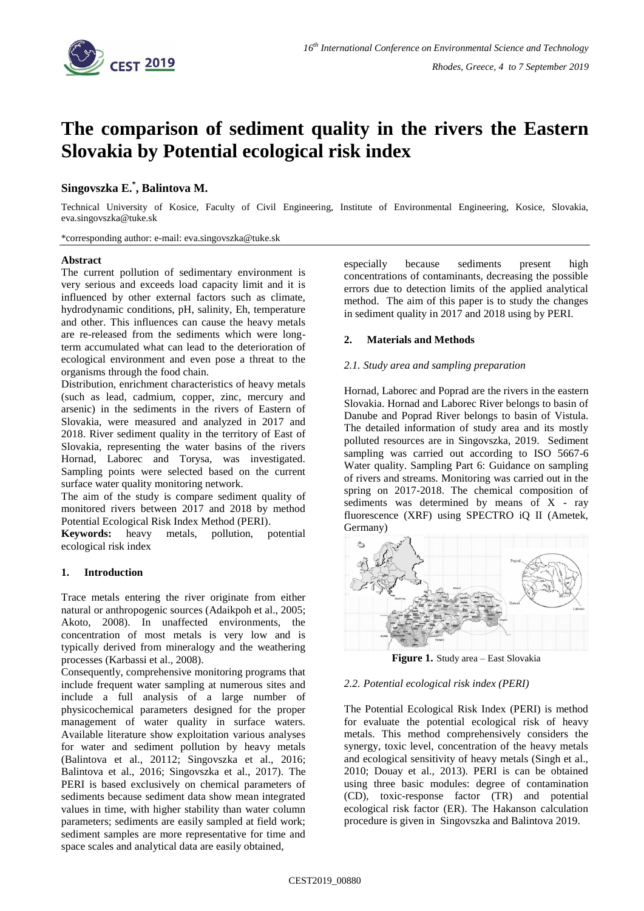

# **The comparison of sediment quality in the rivers the Eastern Slovakia by Potential ecological risk index**

# **Singovszka E.\* , Balintova M.**

Technical University of Kosice, Faculty of Civil Engineering, Institute of Environmental Engineering, Kosice, Slovakia, eva.singovszka@tuke.sk

\*corresponding author: e-mail: eva.singovszka@tuke.sk

### **Abstract**

The current pollution of sedimentary environment is very serious and exceeds load capacity limit and it is influenced by other external factors such as climate, hydrodynamic conditions, pH, salinity, Eh, temperature and other. This influences can cause the heavy metals are re-released from the sediments which were longterm accumulated what can lead to the deterioration of ecological environment and even pose a threat to the organisms through the food chain.

Distribution, enrichment characteristics of heavy metals (such as lead, cadmium, copper, zinc, mercury and arsenic) in the sediments in the rivers of Eastern of Slovakia, were measured and analyzed in 2017 and 2018. River sediment quality in the territory of East of Slovakia, representing the water basins of the rivers Hornad, Laborec and Torysa, was investigated. Sampling points were selected based on the current surface water quality monitoring network.

The aim of the study is compare sediment quality of monitored rivers between 2017 and 2018 by method Potential Ecological Risk Index Method (PERI).

**Keywords:** heavy metals, pollution, potential ecological risk index

# **1. Introduction**

Trace metals entering the river originate from either natural or anthropogenic sources (Adaikpoh et al., 2005; Akoto, 2008). In unaffected environments, the concentration of most metals is very low and is typically derived from mineralogy and the weathering processes (Karbassi et al., 2008).

Consequently, comprehensive monitoring programs that include frequent water sampling at numerous sites and include a full analysis of a large number of physicochemical parameters designed for the proper management of water quality in surface waters. Available literature show exploitation various analyses for water and sediment pollution by heavy metals (Balintova et al., 20112; Singovszka et al., 2016; Balintova et al., 2016; Singovszka et al., 2017). The PERI is based exclusively on chemical parameters of sediments because sediment data show mean integrated values in time, with higher stability than water column parameters; sediments are easily sampled at field work; sediment samples are more representative for time and space scales and analytical data are easily obtained,

especially because sediments present high concentrations of contaminants, decreasing the possible errors due to detection limits of the applied analytical method. The aim of this paper is to study the changes in sediment quality in 2017 and 2018 using by PERI.

#### **2. Materials and Methods**

#### *2.1. Study area and sampling preparation*

Hornad, Laborec and Poprad are the [rivers](https://en.wikipedia.org/wiki/River) in the eastern [Slovakia.](https://en.wikipedia.org/wiki/Slovakia) Hornad and Laborec River belongs to basin of Danube and Poprad River belongs to basin of Vistula. The detailed information of study area and its mostly polluted resources are in Singovszka, 2019. Sediment sampling was carried out according to ISO 5667-6 Water quality. Sampling Part 6: Guidance on sampling of rivers and streams. Monitoring was carried out in the spring on 2017-2018. The chemical composition of sediments was determined by means of X - ray fluorescence (XRF) using SPECTRO iQ II (Ametek, Germany)



**Figure 1.** Study area – East Slovakia

#### *2.2. Potential ecological risk index (PERI)*

The Potential Ecological Risk Index (PERI) is method for evaluate the potential ecological risk of heavy metals. This method comprehensively considers the synergy, toxic level, concentration of the heavy metals and ecological sensitivity of heavy metals (Singh et al., 2010; Douay et al., 2013). PERI is can be obtained using three basic modules: degree of contamination (CD), toxic-response factor (TR) and potential ecological risk factor (ER). The Hakanson calculation procedure is given in Singovszka and Balintova 2019.